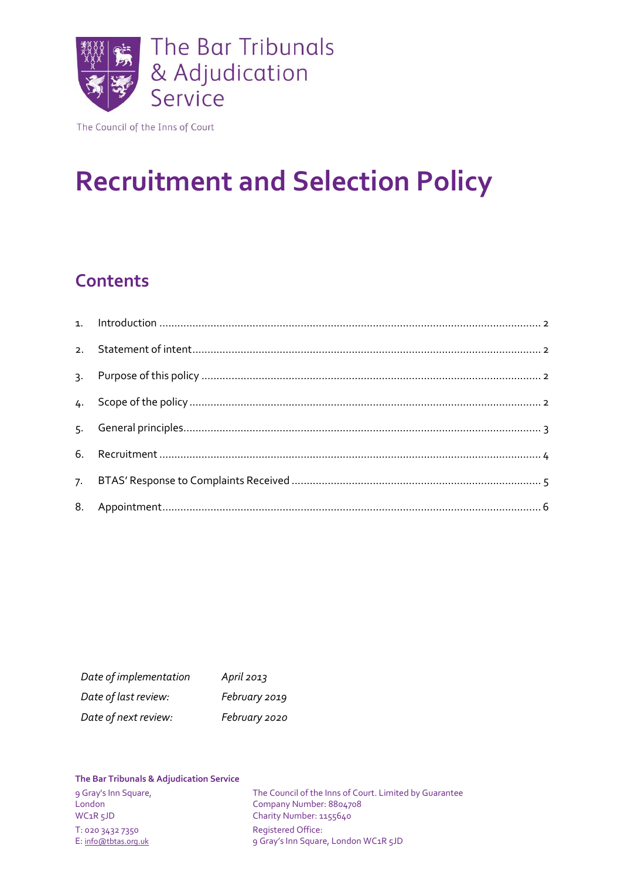

The Council of the Inns of Court

# **Recruitment and Selection Policy**

# **Contents**

| Date of implementation | April $2013$  |
|------------------------|---------------|
| Date of last review:   | February 2019 |
| Date of next review:   | February 2020 |

#### **The Bar Tribunals & Adjudication Service**

T: 020 3432 7350 Registered Office:

9 Gray's Inn Square, The Council of the Inns of Court. Limited by Guarantee<br>
London<br>
Company Number: 8804708 London Company Number: 8804708<br>
WC1R 5JD Charity Number: 1155640 Charity Number: 1155640 E: [info@tbtas.org.uk](mailto:info@tbtas.org.uk) 9 Gray's Inn Square, London WC1R 5JD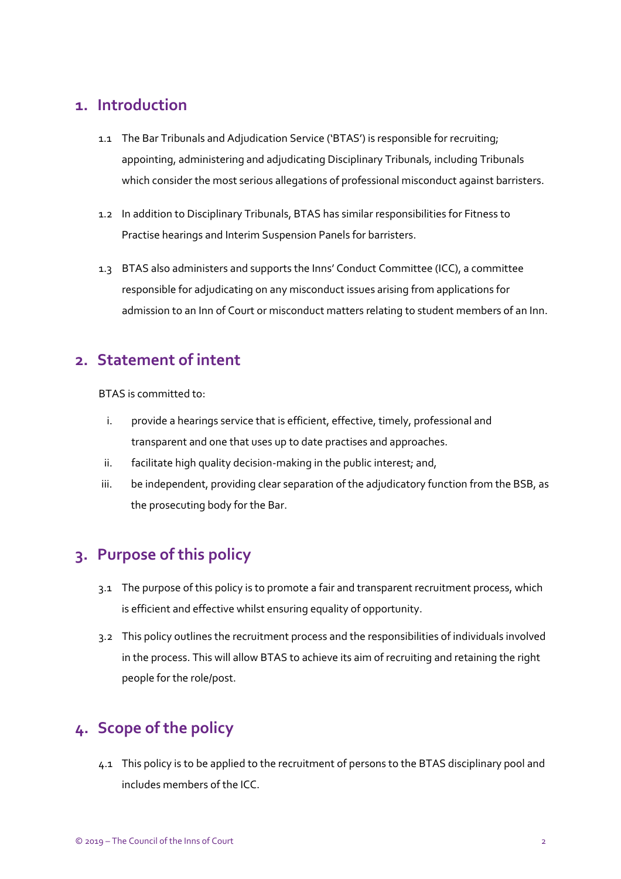### <span id="page-1-0"></span>**1. Introduction**

- 1.1 The Bar Tribunals and Adjudication Service ('BTAS') is responsible for recruiting; appointing, administering and adjudicating Disciplinary Tribunals, including Tribunals which consider the most serious allegations of professional misconduct against barristers.
- 1.2 In addition to Disciplinary Tribunals, BTAS has similar responsibilities for Fitness to Practise hearings and Interim Suspension Panels for barristers.
- 1.3 BTAS also administers and supports the Inns' Conduct Committee (ICC), a committee responsible for adjudicating on any misconduct issues arising from applications for admission to an Inn of Court or misconduct matters relating to student members of an Inn.

### <span id="page-1-1"></span>**2. Statement of intent**

BTAS is committed to:

- i. provide a hearings service that is efficient, effective, timely, professional and transparent and one that uses up to date practises and approaches.
- ii. facilitate high quality decision-making in the public interest; and,
- iii. be independent, providing clear separation of the adjudicatory function from the BSB, as the prosecuting body for the Bar.

# <span id="page-1-2"></span>**3. Purpose of this policy**

- 3.1 The purpose of this policy is to promote a fair and transparent recruitment process, which is efficient and effective whilst ensuring equality of opportunity.
- 3.2 This policy outlines the recruitment process and the responsibilities of individuals involved in the process. This will allow BTAS to achieve its aim of recruiting and retaining the right people for the role/post.

# <span id="page-1-3"></span>**4. Scope of the policy**

4.1 This policy is to be applied to the recruitment of persons to the BTAS disciplinary pool and includes members of the ICC.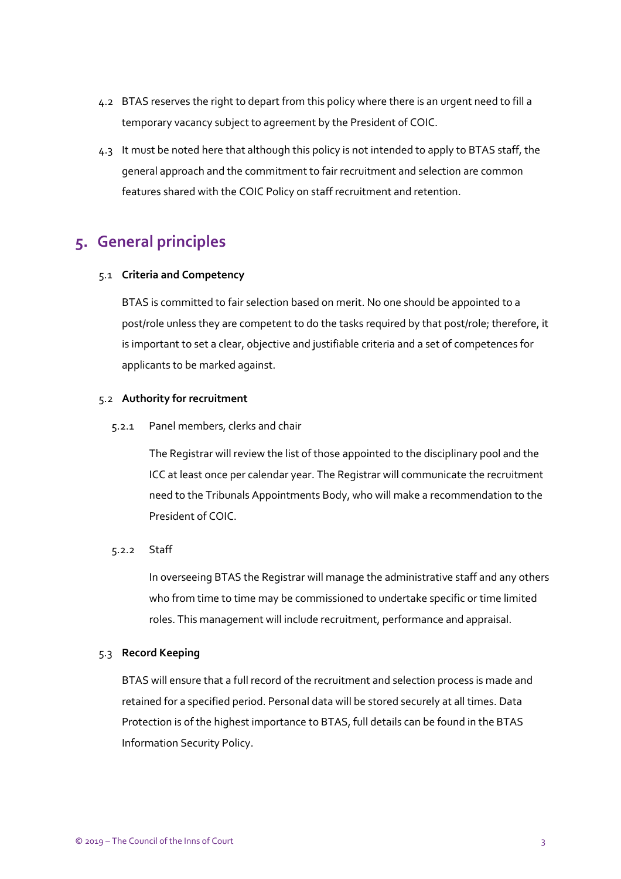- 4.2 BTAS reserves the right to depart from this policy where there is an urgent need to fill a temporary vacancy subject to agreement by the President of COIC.
- 4.3 It must be noted here that although this policy is not intended to apply to BTAS staff, the general approach and the commitment to fair recruitment and selection are common features shared with the COIC Policy on staff recruitment and retention.

# <span id="page-2-0"></span>**5. General principles**

#### 5.1 **Criteria and Competency**

BTAS is committed to fair selection based on merit. No one should be appointed to a post/role unless they are competent to do the tasks required by that post/role; therefore, it is important to set a clear, objective and justifiable criteria and a set of competences for applicants to be marked against.

#### 5.2 **Authority for recruitment**

5.2.1 Panel members, clerks and chair

The Registrar will review the list of those appointed to the disciplinary pool and the ICC at least once per calendar year. The Registrar will communicate the recruitment need to the Tribunals Appointments Body, who will make a recommendation to the President of COIC.

#### 5.2.2 Staff

In overseeing BTAS the Registrar will manage the administrative staff and any others who from time to time may be commissioned to undertake specific or time limited roles. This management will include recruitment, performance and appraisal.

#### 5.3 **Record Keeping**

BTAS will ensure that a full record of the recruitment and selection process is made and retained for a specified period. Personal data will be stored securely at all times. Data Protection is of the highest importance to BTAS, full details can be found in the BTAS Information Security Policy.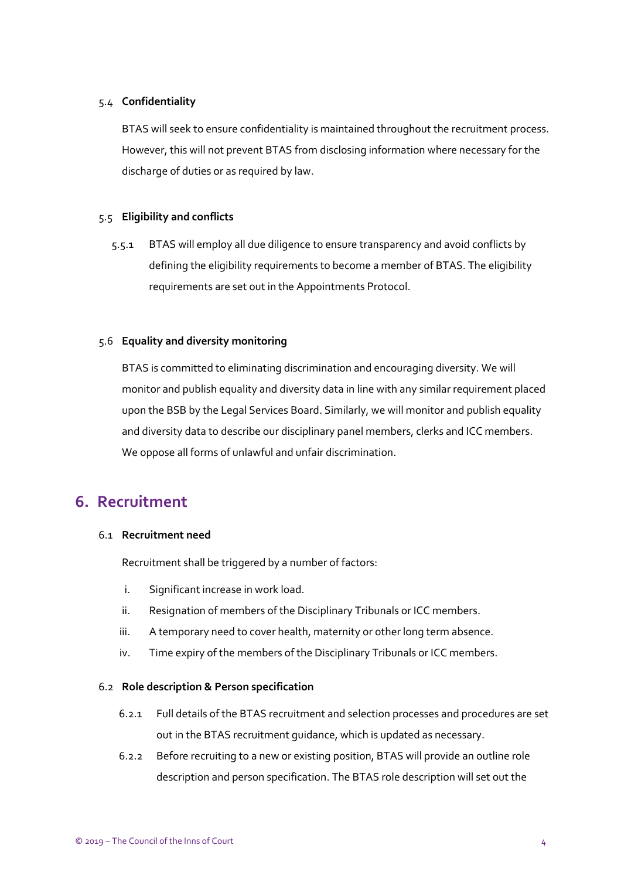#### 5.4 **Confidentiality**

BTAS will seek to ensure confidentiality is maintained throughout the recruitment process. However, this will not prevent BTAS from disclosing information where necessary for the discharge of duties or as required by law.

#### 5.5 **Eligibility and conflicts**

5.5.1 BTAS will employ all due diligence to ensure transparency and avoid conflicts by defining the eligibility requirements to become a member of BTAS. The eligibility requirements are set out in the Appointments Protocol.

#### 5.6 **Equality and diversity monitoring**

BTAS is committed to eliminating discrimination and encouraging diversity. We will monitor and publish equality and diversity data in line with any similar requirement placed upon the BSB by the Legal Services Board. Similarly, we will monitor and publish equality and diversity data to describe our disciplinary panel members, clerks and ICC members. We oppose all forms of unlawful and unfair discrimination.

### <span id="page-3-0"></span>**6. Recruitment**

#### 6.1 **Recruitment need**

Recruitment shall be triggered by a number of factors:

- i. Significant increase in work load.
- ii. Resignation of members of the Disciplinary Tribunals or ICC members.
- iii. A temporary need to cover health, maternity or other long term absence.
- iv. Time expiry of the members of the Disciplinary Tribunals or ICC members.

#### 6.2 **Role description & Person specification**

- 6.2.1 Full details of the BTAS recruitment and selection processes and procedures are set out in the BTAS recruitment guidance, which is updated as necessary.
- 6.2.2 Before recruiting to a new or existing position, BTAS will provide an outline role description and person specification. The BTAS role description will set out the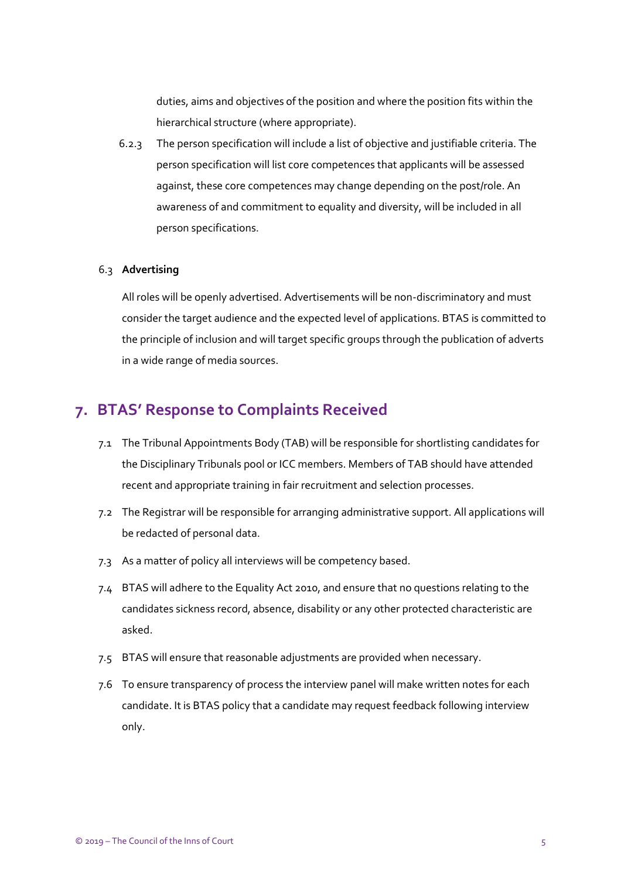duties, aims and objectives of the position and where the position fits within the hierarchical structure (where appropriate).

6.2.3 The person specification will include a list of objective and justifiable criteria. The person specification will list core competences that applicants will be assessed against, these core competences may change depending on the post/role. An awareness of and commitment to equality and diversity, will be included in all person specifications.

#### 6.3 **Advertising**

All roles will be openly advertised. Advertisements will be non-discriminatory and must consider the target audience and the expected level of applications. BTAS is committed to the principle of inclusion and will target specific groups through the publication of adverts in a wide range of media sources.

### <span id="page-4-0"></span>**7. BTAS' Response to Complaints Received**

- 7.1 The Tribunal Appointments Body (TAB) will be responsible for shortlisting candidates for the Disciplinary Tribunals pool or ICC members. Members of TAB should have attended recent and appropriate training in fair recruitment and selection processes.
- 7.2 The Registrar will be responsible for arranging administrative support. All applications will be redacted of personal data.
- 7.3 As a matter of policy all interviews will be competency based.
- 7.4 BTAS will adhere to the Equality Act 2010, and ensure that no questions relating to the candidates sickness record, absence, disability or any other protected characteristic are asked.
- 7.5 BTAS will ensure that reasonable adjustments are provided when necessary.
- 7.6 To ensure transparency of process the interview panel will make written notes for each candidate. It is BTAS policy that a candidate may request feedback following interview only.